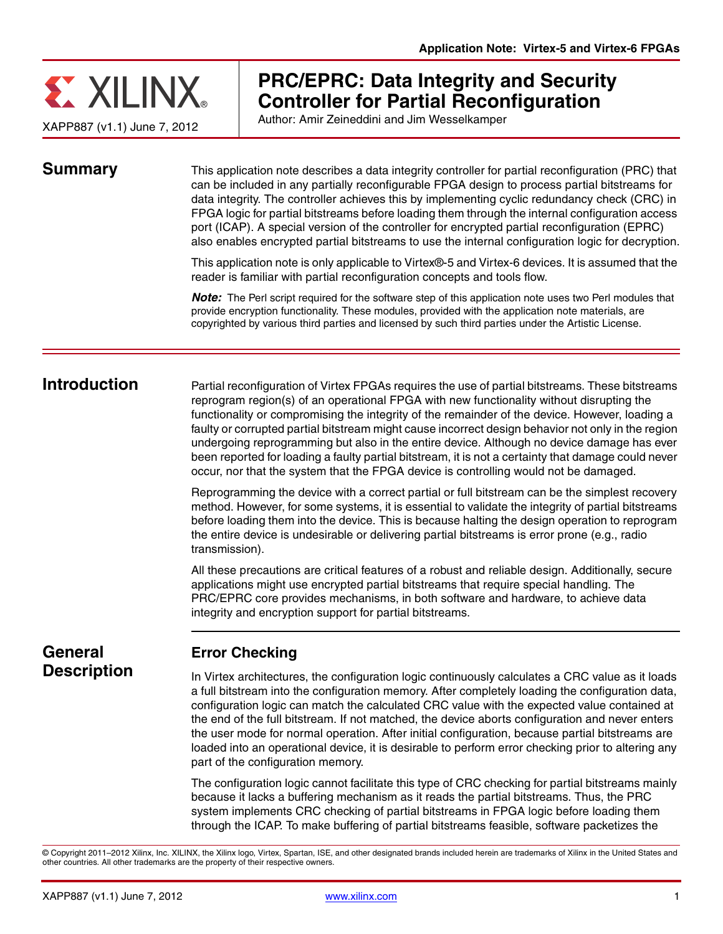

# **PRC/EPRC: Data Integrity and Security Controller for Partial Reconfiguration**

Author: Amir Zeineddini and Jim Wesselkamper

**Summary** This application note describes a data integrity controller for partial reconfiguration (PRC) that can be included in any partially reconfigurable FPGA design to process partial bitstreams for data integrity. The controller achieves this by implementing cyclic redundancy check (CRC) in FPGA logic for partial bitstreams before loading them through the internal configuration access port (ICAP). A special version of the controller for encrypted partial reconfiguration (EPRC) also enables encrypted partial bitstreams to use the internal configuration logic for decryption.

> This application note is only applicable to Virtex®-5 and Virtex-6 devices. It is assumed that the reader is familiar with partial reconfiguration concepts and tools flow.

> **Note:** The Perl script required for the software step of this application note uses two Perl modules that provide encryption functionality. These modules, provided with the application note materials, are copyrighted by various third parties and licensed by such third parties under the Artistic License.

**Introduction** Partial reconfiguration of Virtex FPGAs requires the use of partial bitstreams. These bitstreams reprogram region(s) of an operational FPGA with new functionality without disrupting the functionality or compromising the integrity of the remainder of the device. However, loading a faulty or corrupted partial bitstream might cause incorrect design behavior not only in the region undergoing reprogramming but also in the entire device. Although no device damage has ever been reported for loading a faulty partial bitstream, it is not a certainty that damage could never occur, nor that the system that the FPGA device is controlling would not be damaged.

> Reprogramming the device with a correct partial or full bitstream can be the simplest recovery method. However, for some systems, it is essential to validate the integrity of partial bitstreams before loading them into the device. This is because halting the design operation to reprogram the entire device is undesirable or delivering partial bitstreams is error prone (e.g., radio transmission).

All these precautions are critical features of a robust and reliable design. Additionally, secure applications might use encrypted partial bitstreams that require special handling. The PRC/EPRC core provides mechanisms, in both software and hardware, to achieve data integrity and encryption support for partial bitstreams.

# **General Description**

# **Error Checking**

In Virtex architectures, the configuration logic continuously calculates a CRC value as it loads a full bitstream into the configuration memory. After completely loading the configuration data, configuration logic can match the calculated CRC value with the expected value contained at the end of the full bitstream. If not matched, the device aborts configuration and never enters the user mode for normal operation. After initial configuration, because partial bitstreams are loaded into an operational device, it is desirable to perform error checking prior to altering any part of the configuration memory.

The configuration logic cannot facilitate this type of CRC checking for partial bitstreams mainly because it lacks a buffering mechanism as it reads the partial bitstreams. Thus, the PRC system implements CRC checking of partial bitstreams in FPGA logic before loading them through the ICAP. To make buffering of partial bitstreams feasible, software packetizes the

© Copyright 2011–2012 Xilinx, Inc. XILINX, the Xilinx logo, Virtex, Spartan, ISE, and other designated brands included herein are trademarks of Xilinx in the United States and other countries. All other trademarks are the property of their respective owners.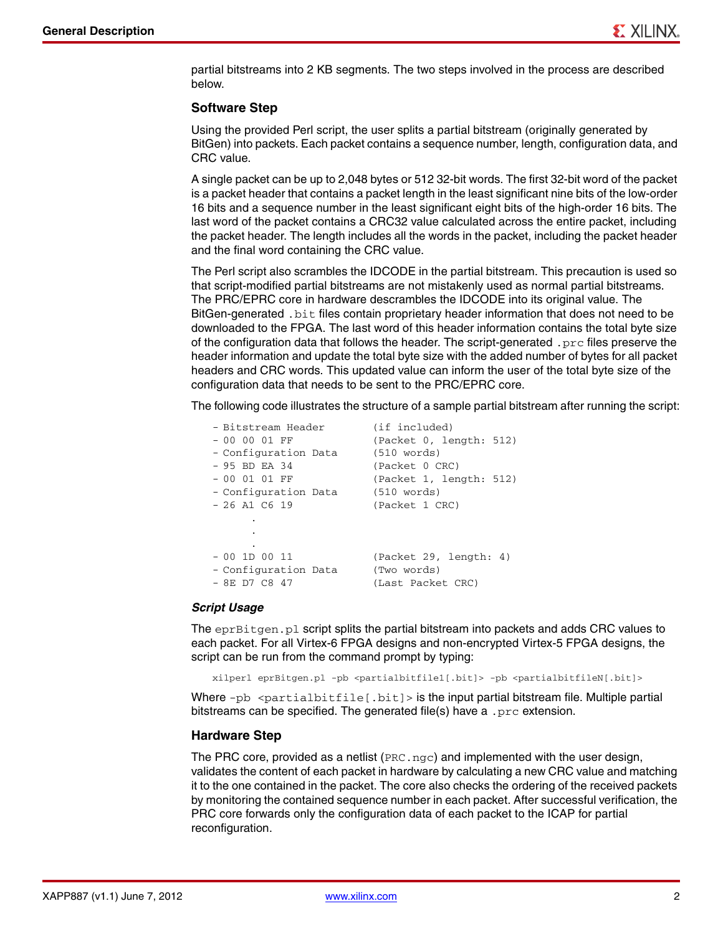partial bitstreams into 2 KB segments. The two steps involved in the process are described below.

#### **Software Step**

Using the provided Perl script, the user splits a partial bitstream (originally generated by BitGen) into packets. Each packet contains a sequence number, length, configuration data, and CRC value.

A single packet can be up to 2,048 bytes or 512 32-bit words. The first 32-bit word of the packet is a packet header that contains a packet length in the least significant nine bits of the low-order 16 bits and a sequence number in the least significant eight bits of the high-order 16 bits. The last word of the packet contains a CRC32 value calculated across the entire packet, including the packet header. The length includes all the words in the packet, including the packet header and the final word containing the CRC value.

The Perl script also scrambles the IDCODE in the partial bitstream. This precaution is used so that script-modified partial bitstreams are not mistakenly used as normal partial bitstreams. The PRC/EPRC core in hardware descrambles the IDCODE into its original value. The BitGen-generated .bit files contain proprietary header information that does not need to be downloaded to the FPGA. The last word of this header information contains the total byte size of the configuration data that follows the header. The script-generated  $.$  prc files preserve the header information and update the total byte size with the added number of bytes for all packet headers and CRC words. This updated value can inform the user of the total byte size of the configuration data that needs to be sent to the PRC/EPRC core.

The following code illustrates the structure of a sample partial bitstream after running the script:

| - Bitstream Header   | (if included)           |
|----------------------|-------------------------|
| $-000001$ FF         | (Packet 0, length: 512) |
| - Configuration Data | $(510 \text{ words})$   |
| - 95 BD EA 34        | (Packet 0 CRC)          |
| $-000101$ FF         | (Packet 1, length: 512) |
| - Configuration Data | $(510 \text{ words})$   |
| $-26$ A1 C6 19       | (Packet 1 CRC)          |
|                      |                         |
|                      |                         |
|                      |                         |
| -00 1D 00 11         | (Packet 29, lenqth: 4)  |
| - Configuration Data | (Two words)             |
| - 8E D7 C8 47        | (Last Packet CRC)       |

#### <span id="page-1-0"></span>*Script Usage*

The eprBitgen.pl script splits the partial bitstream into packets and adds CRC values to each packet. For all Virtex-6 FPGA designs and non-encrypted Virtex-5 FPGA designs, the script can be run from the command prompt by typing:

xilperl eprBitgen.pl -pb <partialbitfile1[.bit]> -pb <partialbitfileN[.bit]>

Where -pb <partialbitfile[.bit]> is the input partial bitstream file. Multiple partial bitstreams can be specified. The generated file(s) have a .prc extension.

#### **Hardware Step**

The PRC core, provided as a netlist (PRC.ngc) and implemented with the user design, validates the content of each packet in hardware by calculating a new CRC value and matching it to the one contained in the packet. The core also checks the ordering of the received packets by monitoring the contained sequence number in each packet. After successful verification, the PRC core forwards only the configuration data of each packet to the ICAP for partial reconfiguration.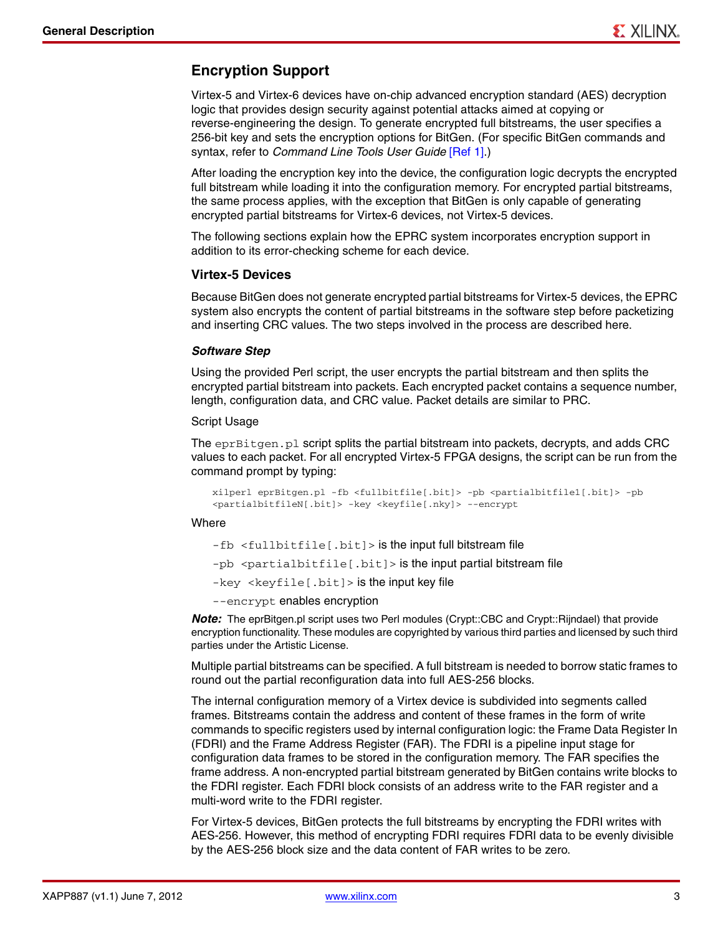### <span id="page-2-0"></span>**Encryption Support**

Virtex-5 and Virtex-6 devices have on-chip advanced encryption standard (AES) decryption logic that provides design security against potential attacks aimed at copying or reverse-engineering the design. To generate encrypted full bitstreams, the user specifies a 256-bit key and sets the encryption options for BitGen. (For specific BitGen commands and syntax, refer to *Command Line Tools User Guide* [\[Ref 1\].](#page-15-0))

After loading the encryption key into the device, the configuration logic decrypts the encrypted full bitstream while loading it into the configuration memory. For encrypted partial bitstreams, the same process applies, with the exception that BitGen is only capable of generating encrypted partial bitstreams for Virtex-6 devices, not Virtex-5 devices.

The following sections explain how the EPRC system incorporates encryption support in addition to its error-checking scheme for each device.

### **Virtex-5 Devices**

Because BitGen does not generate encrypted partial bitstreams for Virtex-5 devices, the EPRC system also encrypts the content of partial bitstreams in the software step before packetizing and inserting CRC values. The two steps involved in the process are described here.

#### *Software Step*

Using the provided Perl script, the user encrypts the partial bitstream and then splits the encrypted partial bitstream into packets. Each encrypted packet contains a sequence number, length, configuration data, and CRC value. Packet details are similar to PRC.

#### Script Usage

The  $eprBitgen.pl$  script splits the partial bitstream into packets, decrypts, and adds CRC values to each packet. For all encrypted Virtex-5 FPGA designs, the script can be run from the command prompt by typing:

```
xilperl eprBitgen.pl -fb <fullbitfile[.bit]> -pb <partialbitfile1[.bit]> -pb 
<partialbitfileN[.bit]> -key <keyfile[.nky]> --encrypt
```
#### **Where**

- -fb <fullbitfile[.bit]> is the input full bitstream file
- -pb <partialbitfile[.bit]> is the input partial bitstream file
- -key <keyfile[.bit]> is the input key file
- --encrypt enables encryption

*Note:* The eprBitgen.pl script uses two Perl modules (Crypt::CBC and Crypt::Rijndael) that provide encryption functionality. These modules are copyrighted by various third parties and licensed by such third parties under the Artistic License.

Multiple partial bitstreams can be specified. A full bitstream is needed to borrow static frames to round out the partial reconfiguration data into full AES-256 blocks.

The internal configuration memory of a Virtex device is subdivided into segments called frames. Bitstreams contain the address and content of these frames in the form of write commands to specific registers used by internal configuration logic: the Frame Data Register In (FDRI) and the Frame Address Register (FAR). The FDRI is a pipeline input stage for configuration data frames to be stored in the configuration memory. The FAR specifies the frame address. A non-encrypted partial bitstream generated by BitGen contains write blocks to the FDRI register. Each FDRI block consists of an address write to the FAR register and a multi-word write to the FDRI register.

For Virtex-5 devices, BitGen protects the full bitstreams by encrypting the FDRI writes with AES-256. However, this method of encrypting FDRI requires FDRI data to be evenly divisible by the AES-256 block size and the data content of FAR writes to be zero.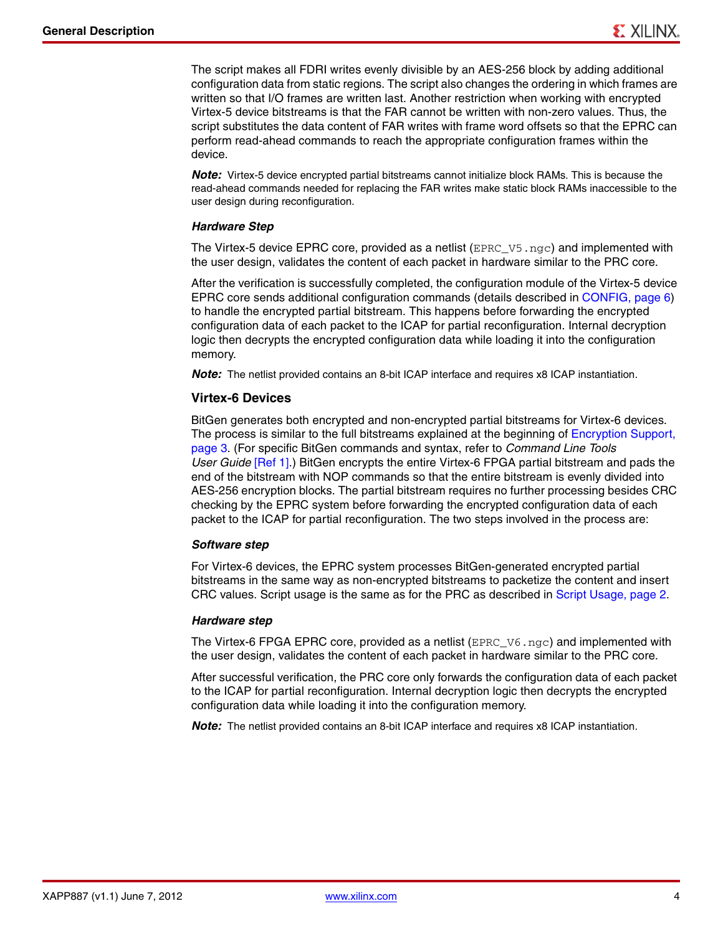The script makes all FDRI writes evenly divisible by an AES-256 block by adding additional configuration data from static regions. The script also changes the ordering in which frames are written so that I/O frames are written last. Another restriction when working with encrypted Virtex-5 device bitstreams is that the FAR cannot be written with non-zero values. Thus, the script substitutes the data content of FAR writes with frame word offsets so that the EPRC can perform read-ahead commands to reach the appropriate configuration frames within the device.

**Note:** Virtex-5 device encrypted partial bitstreams cannot initialize block RAMs. This is because the read-ahead commands needed for replacing the FAR writes make static block RAMs inaccessible to the user design during reconfiguration.

#### *Hardware Step*

The Virtex-5 device EPRC core, provided as a netlist (EPRC,  $V5 \cdot ngc$ ) and implemented with the user design, validates the content of each packet in hardware similar to the PRC core.

After the verification is successfully completed, the configuration module of the Virtex-5 device EPRC core sends additional configuration commands (details described in [CONFIG, page 6](#page-5-0)) to handle the encrypted partial bitstream. This happens before forwarding the encrypted configuration data of each packet to the ICAP for partial reconfiguration. Internal decryption logic then decrypts the encrypted configuration data while loading it into the configuration memory.

**Note:** The netlist provided contains an 8-bit ICAP interface and requires x8 ICAP instantiation.

#### **Virtex-6 Devices**

BitGen generates both encrypted and non-encrypted partial bitstreams for Virtex-6 devices. The process is similar to the full bitstreams explained at the beginning of [Encryption Support,](#page-2-0)  [page 3.](#page-2-0) (For specific BitGen commands and syntax, refer to *Command Line Tools User Guide* [\[Ref 1\].](#page-15-0)) BitGen encrypts the entire Virtex-6 FPGA partial bitstream and pads the end of the bitstream with NOP commands so that the entire bitstream is evenly divided into AES-256 encryption blocks. The partial bitstream requires no further processing besides CRC checking by the EPRC system before forwarding the encrypted configuration data of each packet to the ICAP for partial reconfiguration. The two steps involved in the process are:

#### *Software step*

For Virtex-6 devices, the EPRC system processes BitGen-generated encrypted partial bitstreams in the same way as non-encrypted bitstreams to packetize the content and insert CRC values. Script usage is the same as for the PRC as described in [Script Usage, page 2](#page-1-0).

#### *Hardware step*

The Virtex-6 FPGA EPRC core, provided as a netlist (EPRC\_V6.ngc) and implemented with the user design, validates the content of each packet in hardware similar to the PRC core.

After successful verification, the PRC core only forwards the configuration data of each packet to the ICAP for partial reconfiguration. Internal decryption logic then decrypts the encrypted configuration data while loading it into the configuration memory.

**Note:** The netlist provided contains an 8-bit ICAP interface and requires x8 ICAP instantiation.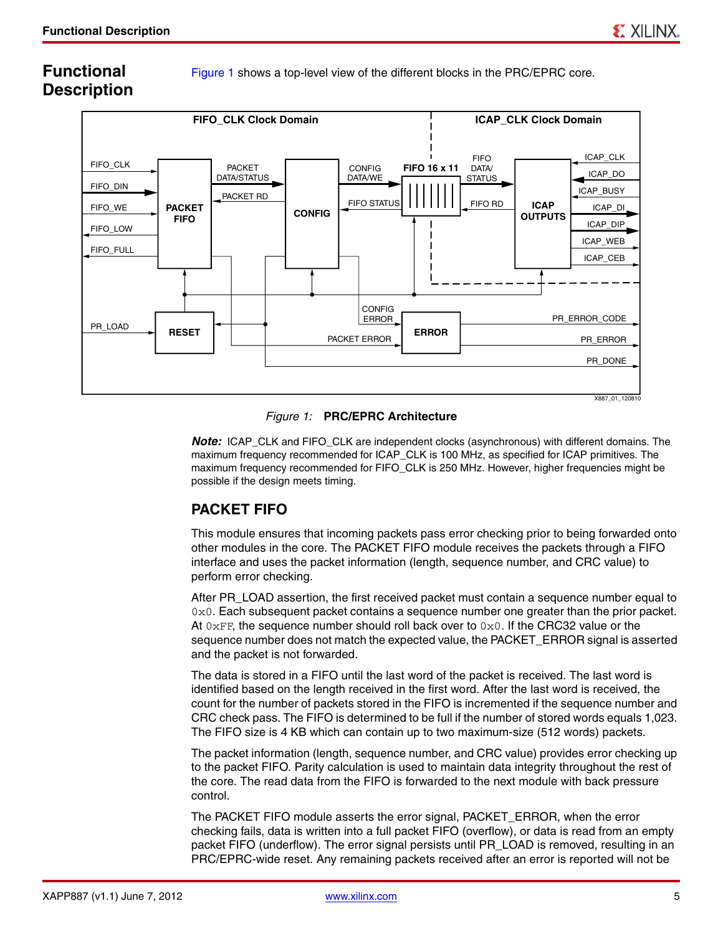## **Functional Description**

[Figure 1](#page-4-0) shows a top-level view of the different blocks in the PRC/EPRC core.

<span id="page-4-0"></span>



**Note:** ICAP\_CLK and FIFO\_CLK are independent clocks (asynchronous) with different domains. The maximum frequency recommended for ICAP\_CLK is 100 MHz, as specified for ICAP primitives. The maximum frequency recommended for FIFO\_CLK is 250 MHz. However, higher frequencies might be possible if the design meets timing.

## **PACKET FIFO**

This module ensures that incoming packets pass error checking prior to being forwarded onto other modules in the core. The PACKET FIFO module receives the packets through a FIFO interface and uses the packet information (length, sequence number, and CRC value) to perform error checking.

After PR\_LOAD assertion, the first received packet must contain a sequence number equal to 0x0. Each subsequent packet contains a sequence number one greater than the prior packet. At  $0 \times FF$ , the sequence number should roll back over to  $0 \times 0$ . If the CRC32 value or the sequence number does not match the expected value, the PACKET\_ERROR signal is asserted and the packet is not forwarded.

The data is stored in a FIFO until the last word of the packet is received. The last word is identified based on the length received in the first word. After the last word is received, the count for the number of packets stored in the FIFO is incremented if the sequence number and CRC check pass. The FIFO is determined to be full if the number of stored words equals 1,023. The FIFO size is 4 KB which can contain up to two maximum-size (512 words) packets.

The packet information (length, sequence number, and CRC value) provides error checking up to the packet FIFO. Parity calculation is used to maintain data integrity throughout the rest of the core. The read data from the FIFO is forwarded to the next module with back pressure control.

The PACKET FIFO module asserts the error signal, PACKET\_ERROR, when the error checking fails, data is written into a full packet FIFO (overflow), or data is read from an empty packet FIFO (underflow). The error signal persists until PR\_LOAD is removed, resulting in an PRC/EPRC-wide reset. Any remaining packets received after an error is reported will not be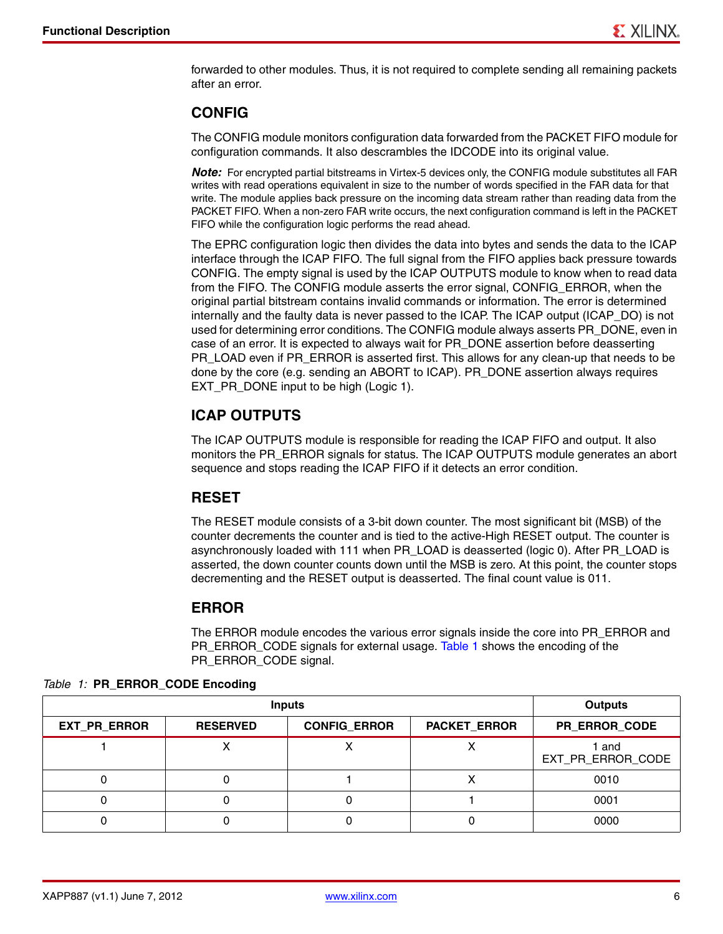forwarded to other modules. Thus, it is not required to complete sending all remaining packets after an error.

### <span id="page-5-0"></span>**CONFIG**

The CONFIG module monitors configuration data forwarded from the PACKET FIFO module for configuration commands. It also descrambles the IDCODE into its original value.

**Note:** For encrypted partial bitstreams in Virtex-5 devices only, the CONFIG module substitutes all FAR writes with read operations equivalent in size to the number of words specified in the FAR data for that write. The module applies back pressure on the incoming data stream rather than reading data from the PACKET FIFO. When a non-zero FAR write occurs, the next configuration command is left in the PACKET FIFO while the configuration logic performs the read ahead.

The EPRC configuration logic then divides the data into bytes and sends the data to the ICAP interface through the ICAP FIFO. The full signal from the FIFO applies back pressure towards CONFIG. The empty signal is used by the ICAP OUTPUTS module to know when to read data from the FIFO. The CONFIG module asserts the error signal, CONFIG\_ERROR, when the original partial bitstream contains invalid commands or information. The error is determined internally and the faulty data is never passed to the ICAP. The ICAP output (ICAP\_DO) is not used for determining error conditions. The CONFIG module always asserts PR\_DONE, even in case of an error. It is expected to always wait for PR\_DONE assertion before deasserting PR\_LOAD even if PR\_ERROR is asserted first. This allows for any clean-up that needs to be done by the core (e.g. sending an ABORT to ICAP). PR\_DONE assertion always requires EXT\_PR\_DONE input to be high (Logic 1).

## **ICAP OUTPUTS**

The ICAP OUTPUTS module is responsible for reading the ICAP FIFO and output. It also monitors the PR\_ERROR signals for status. The ICAP OUTPUTS module generates an abort sequence and stops reading the ICAP FIFO if it detects an error condition.

### **RESET**

The RESET module consists of a 3-bit down counter. The most significant bit (MSB) of the counter decrements the counter and is tied to the active-High RESET output. The counter is asynchronously loaded with 111 when PR\_LOAD is deasserted (logic 0). After PR\_LOAD is asserted, the down counter counts down until the MSB is zero. At this point, the counter stops decrementing and the RESET output is deasserted. The final count value is 011.

### **ERROR**

The ERROR module encodes the various error signals inside the core into PR\_ERROR and PR\_ERROR\_CODE signals for external usage. [Table 1](#page-5-1) shows the encoding of the PR\_ERROR\_CODE signal.

| <b>Inputs</b> |                 |                     | <b>Outputs</b>      |                            |
|---------------|-----------------|---------------------|---------------------|----------------------------|
| EXT_PR_ERROR  | <b>RESERVED</b> | <b>CONFIG_ERROR</b> | <b>PACKET_ERROR</b> | PR_ERROR_CODE              |
|               |                 |                     |                     | l and<br>EXT_PR_ERROR_CODE |
|               |                 |                     |                     | 0010                       |
|               |                 |                     |                     | 0001                       |
|               |                 |                     |                     | 0000                       |

### <span id="page-5-1"></span>*Table 1:* **PR\_ERROR\_CODE Encoding**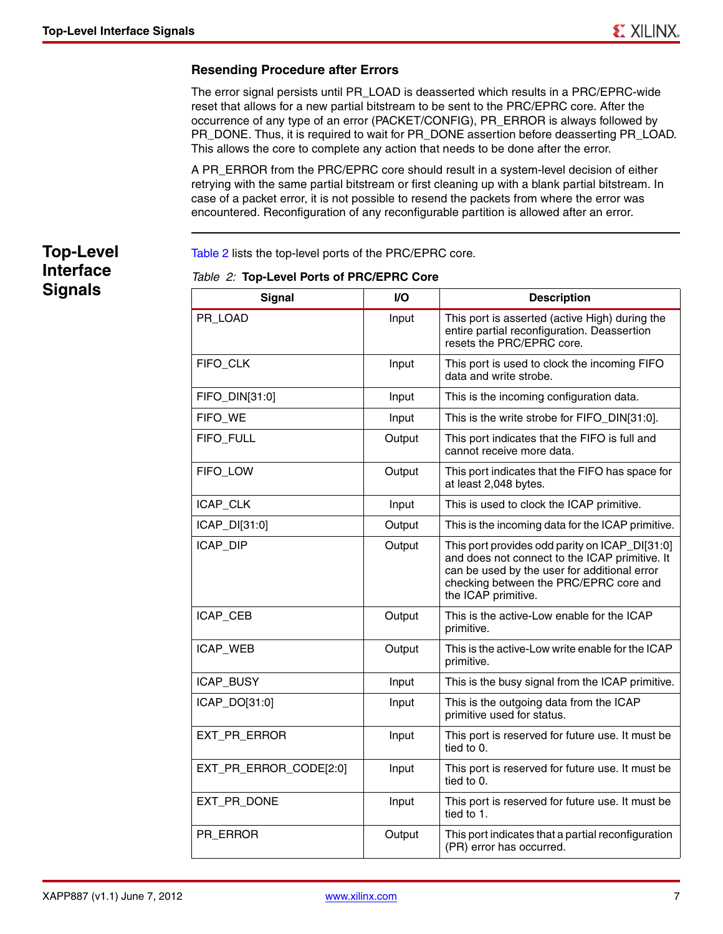### **Resending Procedure after Errors**

The error signal persists until PR\_LOAD is deasserted which results in a PRC/EPRC-wide reset that allows for a new partial bitstream to be sent to the PRC/EPRC core. After the occurrence of any type of an error (PACKET/CONFIG), PR\_ERROR is always followed by PR\_DONE. Thus, it is required to wait for PR\_DONE assertion before deasserting PR\_LOAD. This allows the core to complete any action that needs to be done after the error.

A PR\_ERROR from the PRC/EPRC core should result in a system-level decision of either retrying with the same partial bitstream or first cleaning up with a blank partial bitstream. In case of a packet error, it is not possible to resend the packets from where the error was encountered. Reconfiguration of any reconfigurable partition is allowed after an error.

[Table 2](#page-6-0) lists the top-level ports of the PRC/EPRC core.

#### <span id="page-6-0"></span>*Table 2:* **Top-Level Ports of PRC/EPRC Core**

| <b>Signal</b>          | I/O    | <b>Description</b>                                                                                                                                                                                                |
|------------------------|--------|-------------------------------------------------------------------------------------------------------------------------------------------------------------------------------------------------------------------|
| PR_LOAD                | Input  | This port is asserted (active High) during the<br>entire partial reconfiguration. Deassertion<br>resets the PRC/EPRC core.                                                                                        |
| FIFO_CLK               | Input  | This port is used to clock the incoming FIFO<br>data and write strobe.                                                                                                                                            |
| FIFO_DIN[31:0]         | Input  | This is the incoming configuration data.                                                                                                                                                                          |
| FIFO_WE                | Input  | This is the write strobe for FIFO_DIN[31:0].                                                                                                                                                                      |
| FIFO_FULL              | Output | This port indicates that the FIFO is full and<br>cannot receive more data.                                                                                                                                        |
| FIFO_LOW               | Output | This port indicates that the FIFO has space for<br>at least 2,048 bytes.                                                                                                                                          |
| ICAP_CLK               | Input  | This is used to clock the ICAP primitive.                                                                                                                                                                         |
| ICAP_DI[31:0]          | Output | This is the incoming data for the ICAP primitive.                                                                                                                                                                 |
| ICAP_DIP               | Output | This port provides odd parity on ICAP_DI[31:0]<br>and does not connect to the ICAP primitive. It<br>can be used by the user for additional error<br>checking between the PRC/EPRC core and<br>the ICAP primitive. |
| ICAP_CEB               | Output | This is the active-Low enable for the ICAP<br>primitive.                                                                                                                                                          |
| ICAP_WEB               | Output | This is the active-Low write enable for the ICAP<br>primitive.                                                                                                                                                    |
| ICAP_BUSY              | Input  | This is the busy signal from the ICAP primitive.                                                                                                                                                                  |
| ICAP_DO[31:0]          | Input  | This is the outgoing data from the ICAP<br>primitive used for status.                                                                                                                                             |
| EXT PR ERROR           | Input  | This port is reserved for future use. It must be<br>tied to 0.                                                                                                                                                    |
| EXT_PR_ERROR_CODE[2:0] | Input  | This port is reserved for future use. It must be<br>tied to 0.                                                                                                                                                    |
| EXT_PR_DONE            | Input  | This port is reserved for future use. It must be<br>tied to 1.                                                                                                                                                    |
| PR_ERROR               | Output | This port indicates that a partial reconfiguration<br>(PR) error has occurred.                                                                                                                                    |

# **Top-Level Interface Signals**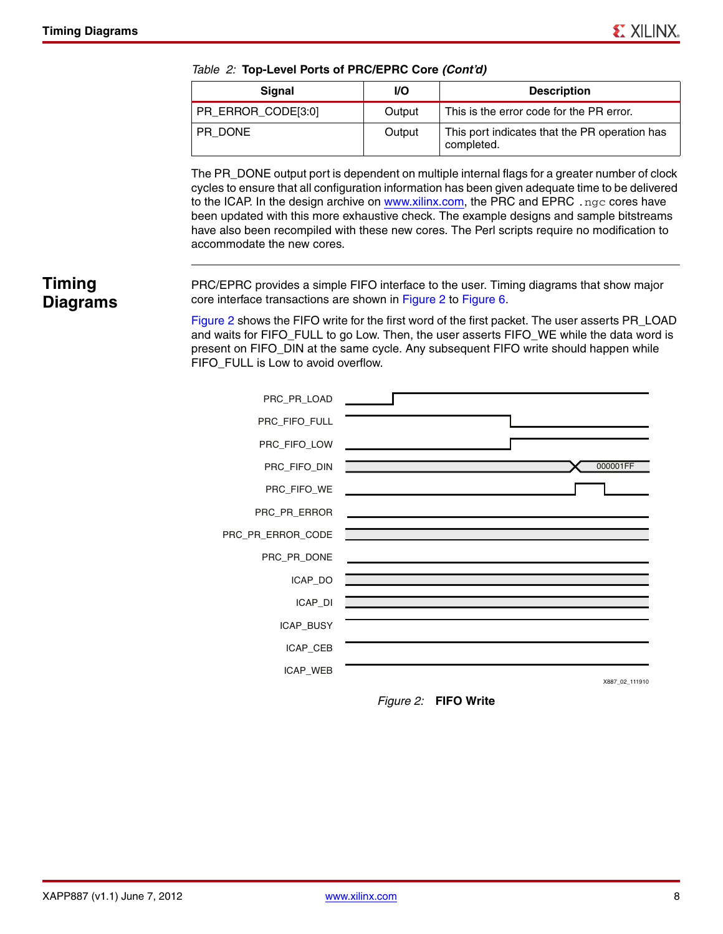|  |  |  | Table 2: Top-Level Ports of PRC/EPRC Core (Cont'd) |  |  |
|--|--|--|----------------------------------------------------|--|--|
|--|--|--|----------------------------------------------------|--|--|

| <b>Signal</b>      | I/O    | <b>Description</b>                                          |
|--------------------|--------|-------------------------------------------------------------|
| PR ERROR CODE[3:0] | Output | This is the error code for the PR error.                    |
| PR DONE            | Output | This port indicates that the PR operation has<br>completed. |

The PR\_DONE output port is dependent on multiple internal flags for a greater number of clock cycles to ensure that all configuration information has been given adequate time to be delivered to the ICAP. In the design archive on [www.xilinx.com](http://www.xilinx.com), the PRC and EPRC .ngc cores have been updated with this more exhaustive check. The example designs and sample bitstreams have also been recompiled with these new cores. The Perl scripts require no modification to accommodate the new cores.

# **Timing Diagrams**

PRC/EPRC provides a simple FIFO interface to the user. Timing diagrams that show major core interface transactions are shown in [Figure 2](#page-7-0) to [Figure 6](#page-9-0).

[Figure 2](#page-7-0) shows the FIFO write for the first word of the first packet. The user asserts PR\_LOAD and waits for FIFO\_FULL to go Low. Then, the user asserts FIFO\_WE while the data word is present on FIFO\_DIN at the same cycle. Any subsequent FIFO write should happen while FIFO\_FULL is Low to avoid overflow.

<span id="page-7-0"></span>

*Figure 2:* **FIFO Write**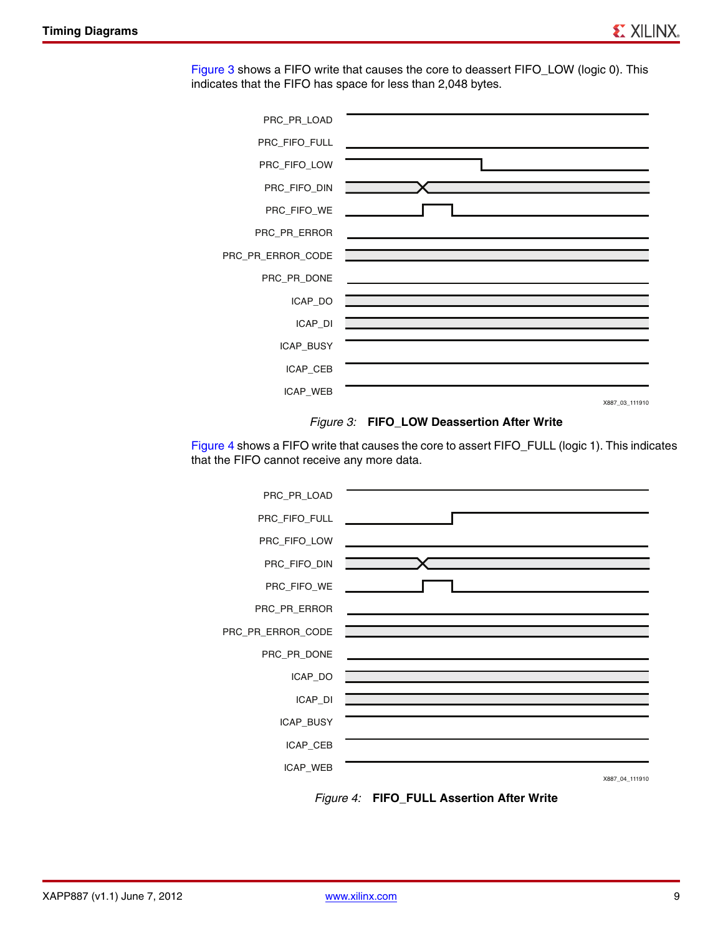[Figure 3](#page-8-0) shows a FIFO write that causes the core to deassert FIFO\_LOW (logic 0). This indicates that the FIFO has space for less than 2,048 bytes.

<span id="page-8-0"></span>



[Figure 4](#page-8-1) shows a FIFO write that causes the core to assert FIFO\_FULL (logic 1). This indicates that the FIFO cannot receive any more data.

<span id="page-8-1"></span>

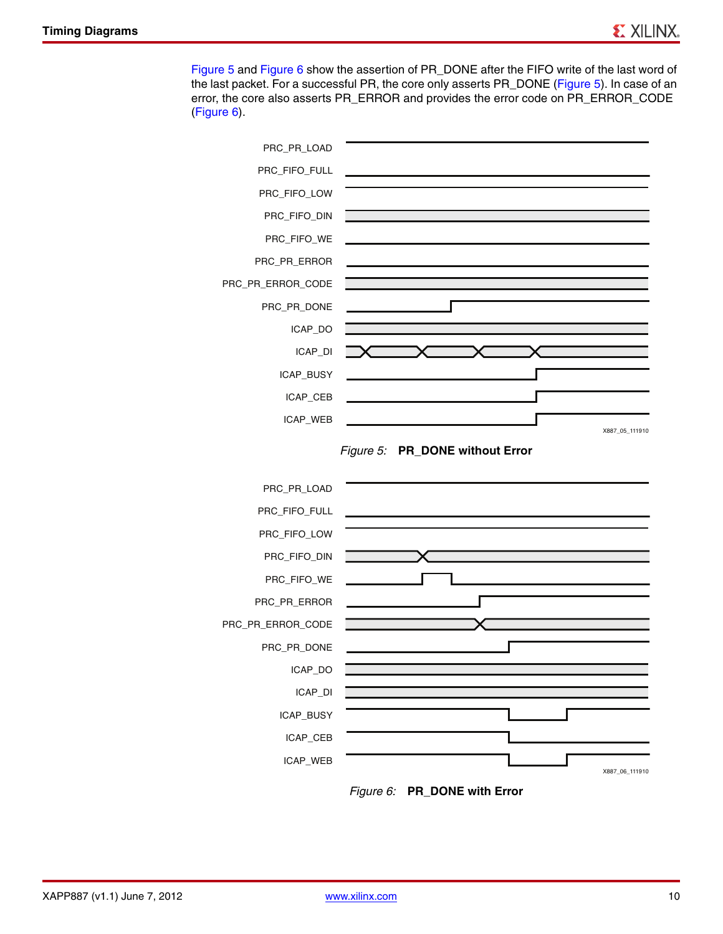[Figure 5](#page-9-1) and [Figure 6](#page-9-0) show the assertion of PR\_DONE after the FIFO write of the last word of the last packet. For a successful PR, the core only asserts PR\_DONE [\(Figure 5\)](#page-9-1). In case of an error, the core also asserts PR\_ERROR and provides the error code on PR\_ERROR\_CODE [\(Figure 6\)](#page-9-0).

<span id="page-9-1"></span><span id="page-9-0"></span>

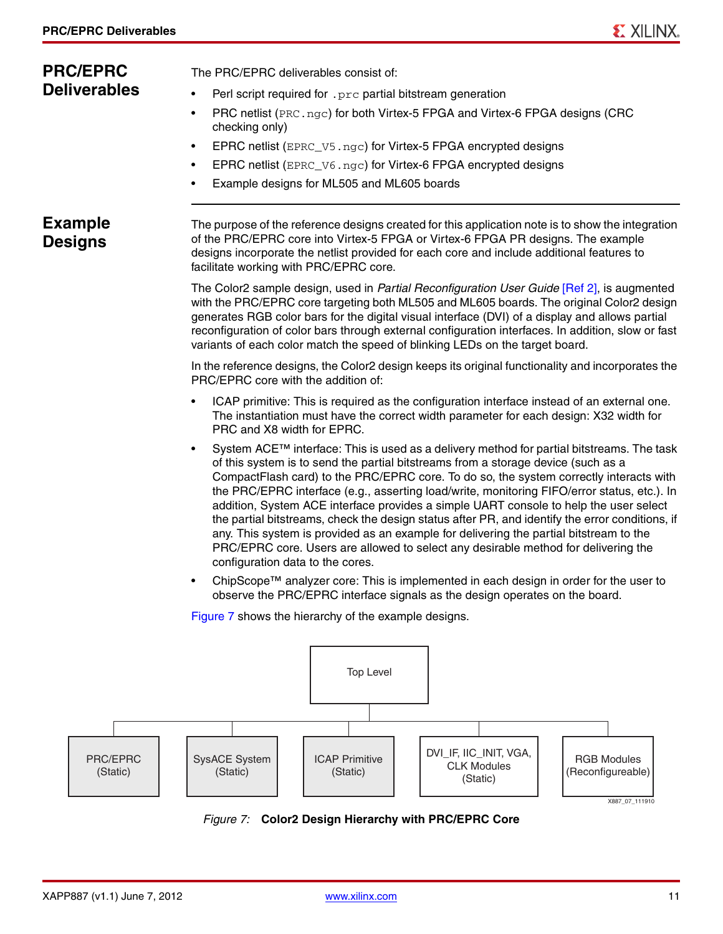# **PRC/EPRC Deliverables**

The PRC/EPRC deliverables consist of:

- Perl script required for . prc partial bitstream generation
- PRC netlist (PRC.ngc) for both Virtex-5 FPGA and Virtex-6 FPGA designs (CRC checking only)
- EPRC netlist (EPRC\_V5.ngc) for Virtex-5 FPGA encrypted designs
- EPRC netlist (EPRC V6.ngc) for Virtex-6 FPGA encrypted designs
- Example designs for ML505 and ML605 boards

# **Example Designs**

The purpose of the reference designs created for this application note is to show the integration of the PRC/EPRC core into Virtex-5 FPGA or Virtex-6 FPGA PR designs. The example designs incorporate the netlist provided for each core and include additional features to facilitate working with PRC/EPRC core.

The Color2 sample design, used in *Partial Reconfiguration User Guide* [\[Ref 2\],](#page-15-1) is augmented with the PRC/EPRC core targeting both ML505 and ML605 boards. The original Color2 design generates RGB color bars for the digital visual interface (DVI) of a display and allows partial reconfiguration of color bars through external configuration interfaces. In addition, slow or fast variants of each color match the speed of blinking LEDs on the target board.

In the reference designs, the Color2 design keeps its original functionality and incorporates the PRC/EPRC core with the addition of:

- ICAP primitive: This is required as the configuration interface instead of an external one. The instantiation must have the correct width parameter for each design: X32 width for PRC and X8 width for EPRC.
- System ACE™ interface: This is used as a delivery method for partial bitstreams. The task of this system is to send the partial bitstreams from a storage device (such as a CompactFlash card) to the PRC/EPRC core. To do so, the system correctly interacts with the PRC/EPRC interface (e.g., asserting load/write, monitoring FIFO/error status, etc.). In addition, System ACE interface provides a simple UART console to help the user select the partial bitstreams, check the design status after PR, and identify the error conditions, if any. This system is provided as an example for delivering the partial bitstream to the PRC/EPRC core. Users are allowed to select any desirable method for delivering the configuration data to the cores.
- ChipScope™ analyzer core: This is implemented in each design in order for the user to observe the PRC/EPRC interface signals as the design operates on the board.

[Figure 7](#page-10-0) shows the hierarchy of the example designs.

<span id="page-10-0"></span>

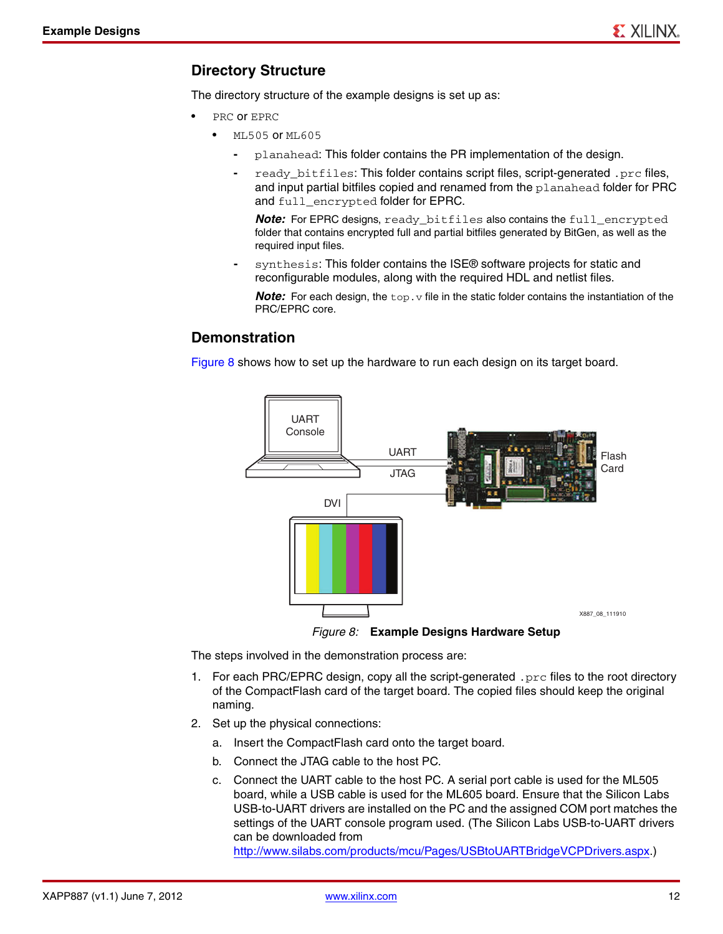### **Directory Structure**

The directory structure of the example designs is set up as:

- PRC **or** EPRC
	- ML505 or ML605
		- **-** planahead: This folder contains the PR implementation of the design.
		- **-** ready\_bitfiles: This folder contains script files, script-generated .prc files, and input partial bitfiles copied and renamed from the planahead folder for PRC and full\_encrypted folder for EPRC.

*Note:* For EPRC designs, ready\_bitfiles also contains the full\_encrypted folder that contains encrypted full and partial bitfiles generated by BitGen, as well as the required input files.

**-** synthesis: This folder contains the ISE® software projects for static and reconfigurable modules, along with the required HDL and netlist files.

**Note:** For each design, the top. v file in the static folder contains the instantiation of the PRC/EPRC core.

### **Demonstration**

<span id="page-11-0"></span>[Figure 8](#page-11-0) shows how to set up the hardware to run each design on its target board.



The steps involved in the demonstration process are:

- 1. For each PRC/EPRC design, copy all the script-generated .  $prc$  files to the root directory of the CompactFlash card of the target board. The copied files should keep the original naming.
- 2. Set up the physical connections:
	- a. Insert the CompactFlash card onto the target board.
	- b. Connect the JTAG cable to the host PC.
	- c. Connect the UART cable to the host PC. A serial port cable is used for the ML505 board, while a USB cable is used for the ML605 board. Ensure that the Silicon Labs USB-to-UART drivers are installed on the PC and the assigned COM port matches the settings of the UART console program used. (The Silicon Labs USB-to-UART drivers can be downloaded from

<http://www.silabs.com/products/mcu/Pages/USBtoUARTBridgeVCPDrivers.aspx>.)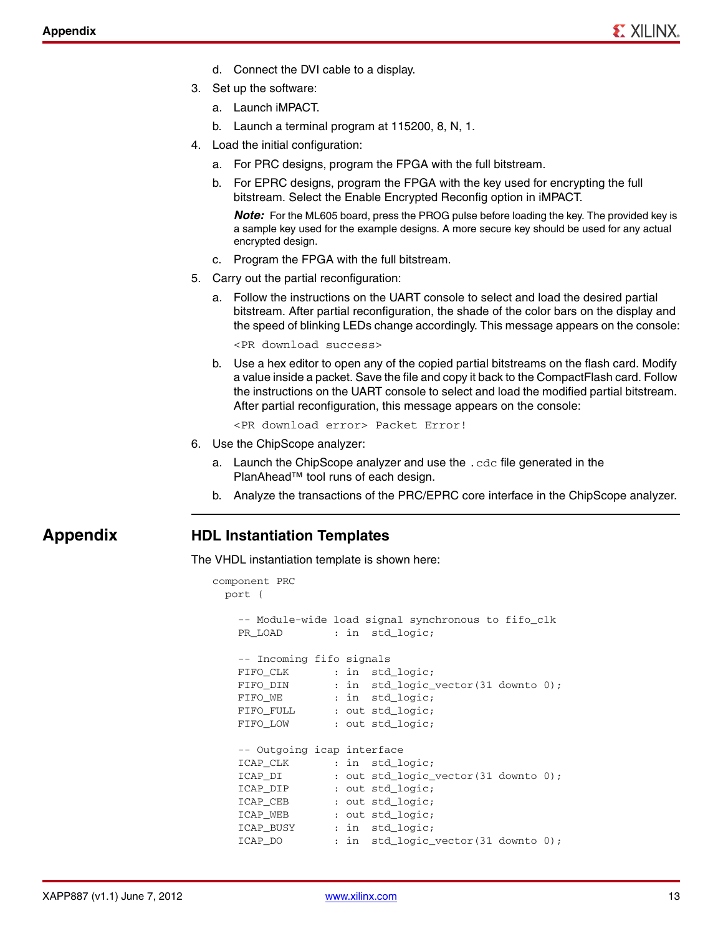- d. Connect the DVI cable to a display.
- 3. Set up the software:
	- a. Launch iMPACT.
	- b. Launch a terminal program at 115200, 8, N, 1.
- 4. Load the initial configuration:
	- a. For PRC designs, program the FPGA with the full bitstream.
	- b. For EPRC designs, program the FPGA with the key used for encrypting the full bitstream. Select the Enable Encrypted Reconfig option in iMPACT.

**Note:** For the ML605 board, press the PROG pulse before loading the key. The provided key is a sample key used for the example designs. A more secure key should be used for any actual encrypted design.

- c. Program the FPGA with the full bitstream.
- 5. Carry out the partial reconfiguration:
	- a. Follow the instructions on the UART console to select and load the desired partial bitstream. After partial reconfiguration, the shade of the color bars on the display and the speed of blinking LEDs change accordingly. This message appears on the console:

<PR download success>

b. Use a hex editor to open any of the copied partial bitstreams on the flash card. Modify a value inside a packet. Save the file and copy it back to the CompactFlash card. Follow the instructions on the UART console to select and load the modified partial bitstream. After partial reconfiguration, this message appears on the console:

<PR download error> Packet Error!

- 6. Use the ChipScope analyzer:
	- a. Launch the ChipScope analyzer and use the .cdc file generated in the PlanAhead™ tool runs of each design.
	- b. Analyze the transactions of the PRC/EPRC core interface in the ChipScope analyzer.

### **Appendix HDL Instantiation Templates**

The VHDL instantiation template is shown here:

```
component PRC 
  port (
     -- Module-wide load signal synchronous to fifo_clk
     PR_LOAD : in std_logic;
     -- Incoming fifo signals
   FIFO_CLK : in std_logic;
   FIFO_DIN : in std_logic_vector(31 downto 0);
   FIFO_WE : in std_logic;<br>FIFO_FULL : out std_logic;
                 : out std_logic;
    FIFO_LOW : out std_logic;
     -- Outgoing icap interface
    ICAP_CLK : in std_logic;
    ICAP_DI : out std_logic_vector(31 downto 0);
    ICAP_DIP : out std_logic;
    ICAP_CEB : out std_logic;
   ICAP_WEB : out std_logic;<br>ICAP_BUSY : in std_logic;
                  : in std_logic;
     ICAP_DO : in std_logic_vector(31 downto 0);
```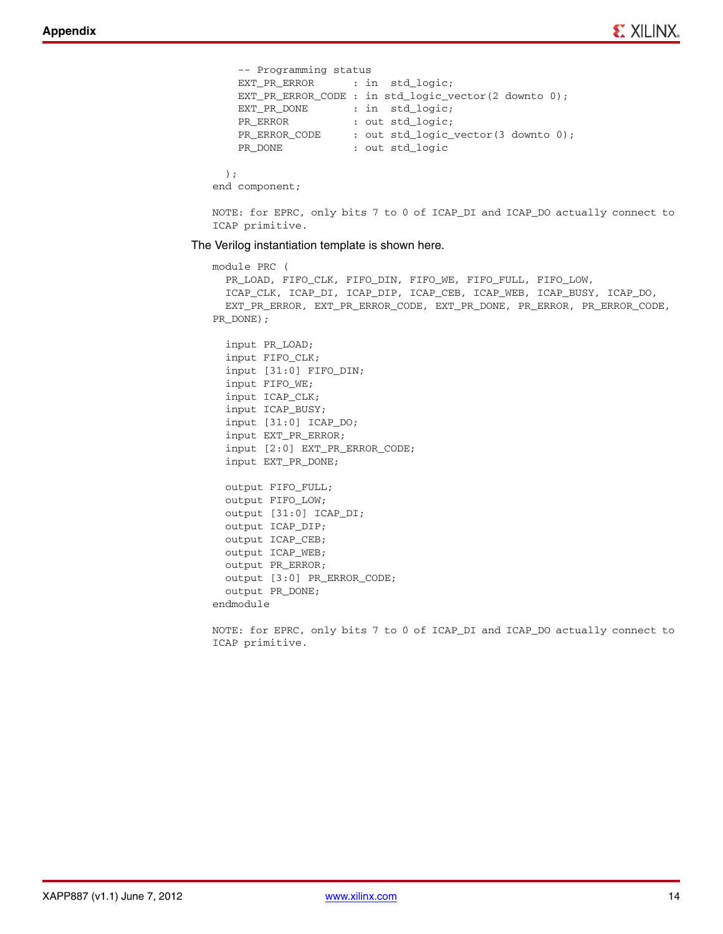```
 -- Programming status
    EXT_PR_ERROR : in std_logic;
    EXT_PR_ERROR_CODE : in std_logic_vector(2 downto 0);
   EXT_PR_DONE : in std_logic;
    PR_ERROR : out std_logic;
    PR_ERROR_CODE : out std_logic_vector(3 downto 0);
   PR_DONE : out std_logic
  );
end component;
```
NOTE: for EPRC, only bits 7 to 0 of ICAP\_DI and ICAP\_DO actually connect to ICAP primitive.

The Verilog instantiation template is shown here.

```
module PRC (
   PR_LOAD, FIFO_CLK, FIFO_DIN, FIFO_WE, FIFO_FULL, FIFO_LOW,
   ICAP_CLK, ICAP_DI, ICAP_DIP, ICAP_CEB, ICAP_WEB, ICAP_BUSY, ICAP_DO,
   EXT_PR_ERROR, EXT_PR_ERROR_CODE, EXT_PR_DONE, PR_ERROR, PR_ERROR_CODE, 
PR_DONE);
```

```
 input PR_LOAD;
 input FIFO_CLK;
 input [31:0] FIFO_DIN;
 input FIFO_WE;
 input ICAP_CLK;
 input ICAP_BUSY;
 input [31:0] ICAP_DO;
 input EXT_PR_ERROR;
 input [2:0] EXT_PR_ERROR_CODE;
 input EXT_PR_DONE;
```
 output FIFO\_FULL; output FIFO\_LOW; output [31:0] ICAP\_DI; output ICAP\_DIP; output ICAP\_CEB; output ICAP\_WEB; output PR\_ERROR; output [3:0] PR\_ERROR\_CODE; output PR\_DONE; endmodule

NOTE: for EPRC, only bits 7 to 0 of ICAP\_DI and ICAP\_DO actually connect to ICAP primitive.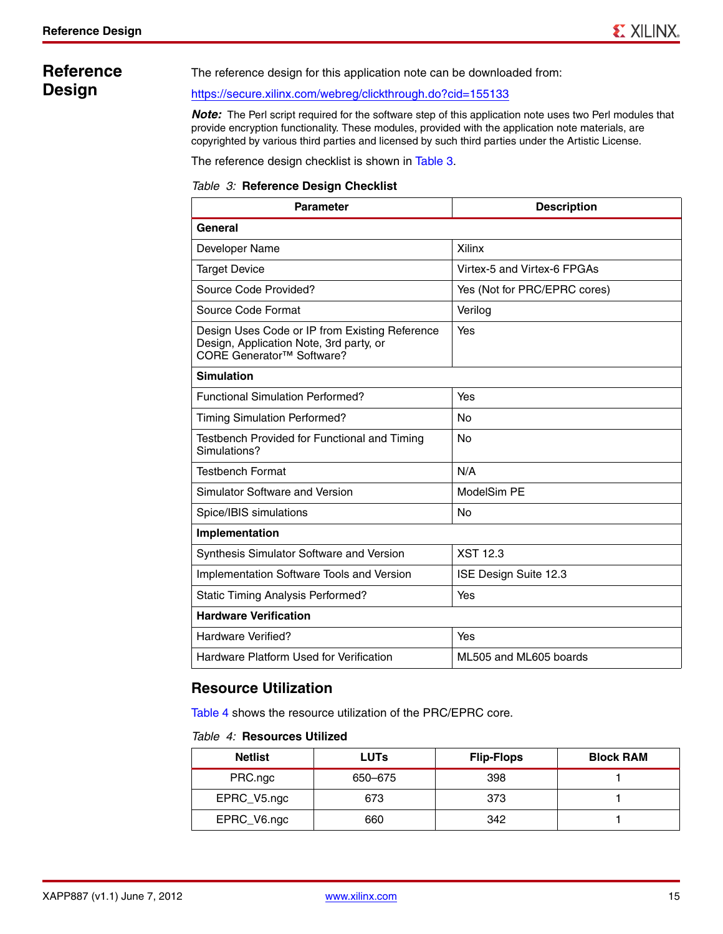# **Reference Design**

The reference design for this application note can be downloaded from:

### <https://secure.xilinx.com/webreg/clickthrough.do?cid=155133>

**Note:** The Perl script required for the software step of this application note uses two Perl modules that provide encryption functionality. These modules, provided with the application note materials, are copyrighted by various third parties and licensed by such third parties under the Artistic License.

The reference design checklist is shown in [Table 3.](#page-14-1)

#### <span id="page-14-1"></span>*Table 3:* **Reference Design Checklist**

| <b>Parameter</b>                                                                                                                   | <b>Description</b>           |  |
|------------------------------------------------------------------------------------------------------------------------------------|------------------------------|--|
| General                                                                                                                            |                              |  |
| Developer Name                                                                                                                     | Xilinx                       |  |
| <b>Target Device</b>                                                                                                               | Virtex-5 and Virtex-6 FPGAs  |  |
| Source Code Provided?                                                                                                              | Yes (Not for PRC/EPRC cores) |  |
| Source Code Format                                                                                                                 | Verilog                      |  |
| Design Uses Code or IP from Existing Reference<br>Design, Application Note, 3rd party, or<br>CORE Generator <sup>™</sup> Software? | Yes                          |  |
| <b>Simulation</b>                                                                                                                  |                              |  |
| <b>Functional Simulation Performed?</b>                                                                                            | Yes                          |  |
| <b>No</b><br><b>Timing Simulation Performed?</b>                                                                                   |                              |  |
| Testbench Provided for Functional and Timing<br>Simulations?                                                                       | <b>No</b>                    |  |
| <b>Testbench Format</b>                                                                                                            | N/A                          |  |
| Simulator Software and Version                                                                                                     | ModelSim PE                  |  |
| Spice/IBIS simulations                                                                                                             | No                           |  |
| Implementation                                                                                                                     |                              |  |
| Synthesis Simulator Software and Version                                                                                           | <b>XST 12.3</b>              |  |
| Implementation Software Tools and Version                                                                                          | ISE Design Suite 12.3        |  |
| <b>Static Timing Analysis Performed?</b>                                                                                           | Yes                          |  |
| <b>Hardware Verification</b>                                                                                                       |                              |  |
| Hardware Verified?                                                                                                                 | Yes                          |  |
| Hardware Platform Used for Verification                                                                                            | ML505 and ML605 boards       |  |

### **Resource Utilization**

[Table 4](#page-14-0) shows the resource utilization of the PRC/EPRC core.

### <span id="page-14-0"></span>*Table 4:* **Resources Utilized**

| <b>Netlist</b> | <b>LUTs</b> | <b>Flip-Flops</b> | <b>Block RAM</b> |
|----------------|-------------|-------------------|------------------|
| PRC.ngc        | 650-675     | 398               |                  |
| EPRC_V5.ngc    | 673         | 373               |                  |
| EPRC_V6.ngc    | 660         | 342               |                  |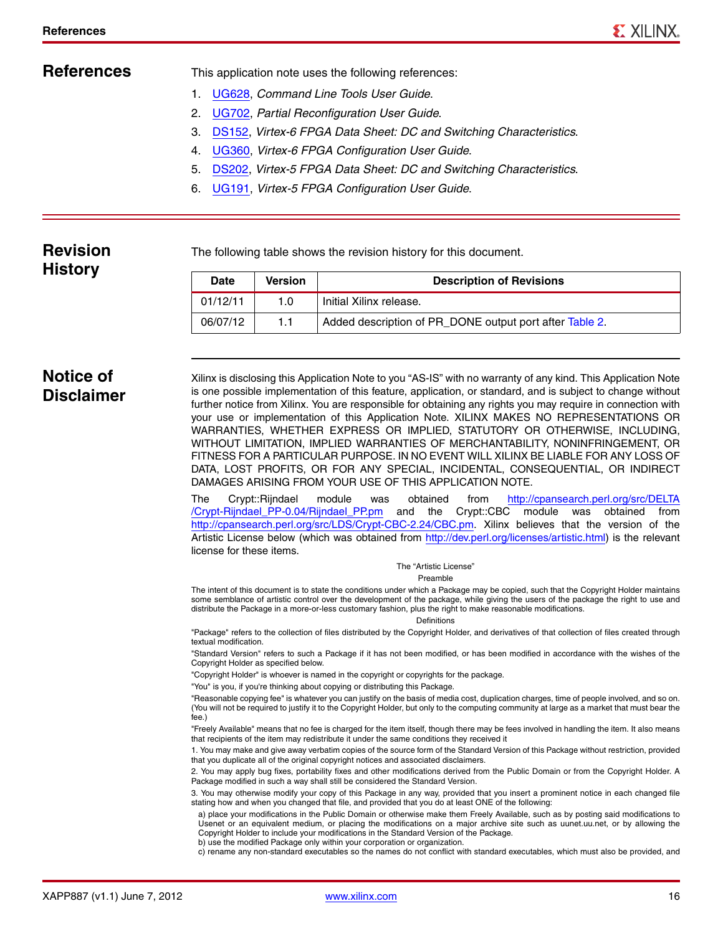**References** This application note uses the following references:

- <span id="page-15-0"></span>1. [UG628,](http://www.xilinx.com/support/documentation/sw_manuals/xilinx12_3/devref.pdf) *Command Line Tools User Guide*.
- <span id="page-15-1"></span>2. [UG702,](http://www.xilinx.com/support/documentation/sw_manuals/xilinx12_3/ug702.pdf) *Partial Reconfiguration User Guide*.
- 3. [DS152,](http://www.xilinx.com/support/documentation/data_sheets/ds152.pdf) *Virtex-6 FPGA Data Sheet: DC and Switching Characteristics*.
- 4. [UG360,](http://www.xilinx.com/support/documentation/user_guides/ug360.pdf) *Virtex-6 FPGA Configuration User Guide*.
- 5. [DS202,](http://www.xilinx.com/support/documentation/data_sheets/ds202.pdf) *Virtex-5 FPGA Data Sheet: DC and Switching Characteristics*.
- 6. [UG191,](http://www.xilinx.com/support/documentation/user_guides/ug191.pdf) *Virtex-5 FPGA Configuration User Guide*.

# **Revision History**

The following table shows the revision history for this document.

| Date     | <b>Version</b> | <b>Description of Revisions</b>                         |
|----------|----------------|---------------------------------------------------------|
| 01/12/11 | 1.0            | Initial Xilinx release.                                 |
| 06/07/12 | 1.1            | Added description of PR_DONE output port after Table 2. |

# **Notice of Disclaimer**

Xilinx is disclosing this Application Note to you "AS-IS" with no warranty of any kind. This Application Note is one possible implementation of this feature, application, or standard, and is subject to change without further notice from Xilinx. You are responsible for obtaining any rights you may require in connection with your use or implementation of this Application Note. XILINX MAKES NO REPRESENTATIONS OR WARRANTIES, WHETHER EXPRESS OR IMPLIED, STATUTORY OR OTHERWISE, INCLUDING, WITHOUT LIMITATION, IMPLIED WARRANTIES OF MERCHANTABILITY, NONINFRINGEMENT, OR FITNESS FOR A PARTICULAR PURPOSE. IN NO EVENT WILL XILINX BE LIABLE FOR ANY LOSS OF DATA, LOST PROFITS, OR FOR ANY SPECIAL, INCIDENTAL, CONSEQUENTIAL, OR INDIRECT DAMAGES ARISING FROM YOUR USE OF THIS APPLICATION NOTE.

The Crypt::Rijndael module was obtained from [http://cpansearch.perl.org/src/DELTA](http://cpansearch.perl.org/src/DELTA/Crypt-Rijndael_PP-0.04/Rijndael_PP.pm) [/Crypt-Rijndael\\_PP-0.04/Rijndael\\_PP.pm](http://cpansearch.perl.org/src/DELTA/Crypt-Rijndael_PP-0.04/Rijndael_PP.pm) and the Crypt::CBC module was obtained from <http://cpansearch.perl.org/src/LDS/Crypt-CBC-2.24/CBC.pm>. Xilinx believes that the version of the Artistic License below (which was obtained from [http://dev.perl.org/licenses/artistic.html\)](http://dev.perl.org/licenses/artistic.html) is the relevant license for these items.

#### The "Artistic License"

Preamble

The intent of this document is to state the conditions under which a Package may be copied, such that the Copyright Holder maintains some semblance of artistic control over the development of the package, while giving the users of the package the right to use and distribute the Package in a more-or-less customary fashion, plus the right to make reasonable modifications.

#### Definitions

"Package" refers to the collection of files distributed by the Copyright Holder, and derivatives of that collection of files created through textual modification.

"Standard Version" refers to such a Package if it has not been modified, or has been modified in accordance with the wishes of the Copyright Holder as specified below.

"Copyright Holder" is whoever is named in the copyright or copyrights for the package.

"You" is you, if you're thinking about copying or distributing this Package.

"Reasonable copying fee" is whatever you can justify on the basis of media cost, duplication charges, time of people involved, and so on. (You will not be required to justify it to the Copyright Holder, but only to the computing community at large as a market that must bear the fee.)

"Freely Available" means that no fee is charged for the item itself, though there may be fees involved in handling the item. It also means that recipients of the item may redistribute it under the same conditions they received it

1. You may make and give away verbatim copies of the source form of the Standard Version of this Package without restriction, provided that you duplicate all of the original copyright notices and associated disclaimers.

2. You may apply bug fixes, portability fixes and other modifications derived from the Public Domain or from the Copyright Holder. A Package modified in such a way shall still be considered the Standard Version.

3. You may otherwise modify your copy of this Package in any way, provided that you insert a prominent notice in each changed file stating how and when you changed that file, and provided that you do at least ONE of the following:

a) place your modifications in the Public Domain or otherwise make them Freely Available, such as by posting said modifications to Usenet or an equivalent medium, or placing the modifications on a major archive site such as uunet.uu.net, or by allowing the Copyright Holder to include your modifications in the Standard Version of the Package.

b) use the modified Package only within your corporation or organization. c) rename any non-standard executables so the names do not conflict with standard executables, which must also be provided, and